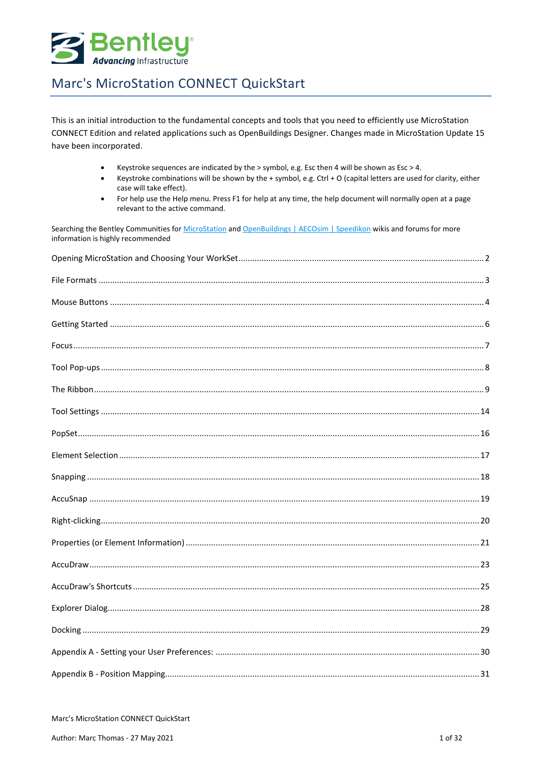

This is an initial introduction to the fundamental concepts and tools that you need to efficiently use MicroStation CONNECT Edition and related applications such as OpenBuildings Designer. Changes made in MicroStation Update 15 have been incorporated.

- Keystroke sequences are indicated by the > symbol, e.g. Esc then 4 will be shown as Esc > 4.  $\bullet$
- Keystroke combinations will be shown by the + symbol, e.g. Ctrl + O (capital letters are used for clarity, either  $\bullet$ case will take effect).
- For help use the Help menu. Press F1 for help at any time, the help document will normally open at a page  $\bullet$ relevant to the active command.

Searching the Bentley Communities for MicroStation and OpenBuildings | AECOsim | Speedikon wikis and forums for more information is highly recommended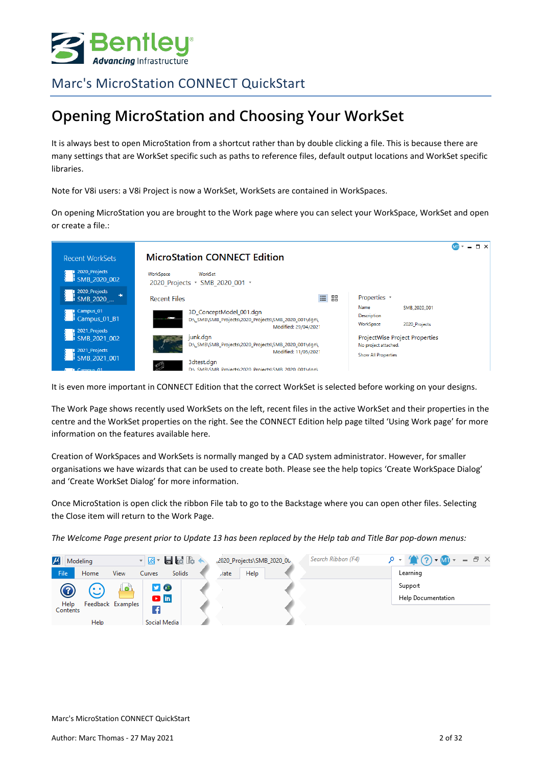

## <span id="page-1-0"></span>**Opening MicroStation and Choosing Your WorkSet**

It is always best to open MicroStation from a shortcut rather than by double clicking a file. This is because there are many settings that are WorkSet specific such as paths to reference files, default output locations and WorkSet specific libraries.

Note for V8i users: a V8i Project is now a WorkSet, WorkSets are contained in WorkSpaces.

On opening MicroStation you are brought to the Work page where you can select your WorkSpace, WorkSet and open or create a file.:

| <b>Recent WorkSets</b>                           | <b>MicroStation CONNECT Edition</b>                                                                                                                                              | $\Box$ $\times$ |
|--------------------------------------------------|----------------------------------------------------------------------------------------------------------------------------------------------------------------------------------|-----------------|
| 2020 Projects<br>i SMB 2020 002                  | WorkSpace<br>WorkSet<br>SMB 2020 001 +<br>2020 Projects *                                                                                                                        |                 |
| 2020_Projects<br>SMB 2020                        | 88<br>Properties *<br><b>Recent Files</b>                                                                                                                                        |                 |
| Campus <sub>-01</sub><br>Campus 01_B1            | Name<br>SMB 2020 001<br>3D_ConceptModel_001.dgn<br>Description<br><br>D:\_SMB\SMB_Projects\2020_Projects\SMB_2020_001\dgn\<br>WorkSpace<br>2020 Projects<br>Modified: 29/04/2021 |                 |
| 2021_Projects<br>i SMB 2021 002<br>2021_Projects | junk.dgn<br>ProjectWise Project Properties<br>D:\_SMB\SMB_Projects\2020_Projects\SMB_2020_001\dgn\<br>No project attached.<br>Modified: 11/05/2021                               |                 |
| i SMB 2021 001<br><b>IL Campus 01</b>            | <b>Show All Properties</b><br>3dtest.dgn<br>✍<br>D:\ SMB\SMB_Projects\2020_Projects\SMB_2020_001\dan\                                                                            |                 |

It is even more important in CONNECT Edition that the correct WorkSet is selected before working on your designs.

The Work Page shows recently used WorkSets on the left, recent files in the active WorkSet and their properties in the centre and the WorkSet properties on the right. See the CONNECT Edition help page tilted 'Using Work page' for more information on the features available here.

Creation of WorkSpaces and WorkSets is normally manged by a CAD system administrator. However, for smaller organisations we have wizards that can be used to create both. Please see the help topics 'Create WorkSpace Dialog' and 'Create WorkSet Dialog' for more information.

Once MicroStation is open click the ribbon File tab to go to the Backstage where you can open other files. Selecting the Close item will return to the Work Page.

*The Welcome Page present prior to Update 13 has been replaced by the Help tab and Title Bar pop-down menus:*

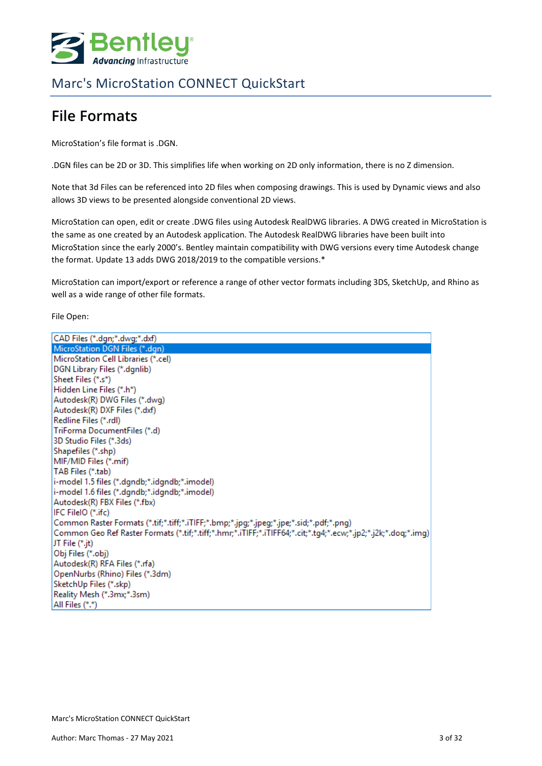

# <span id="page-2-0"></span>**File Formats**

MicroStation's file format is .DGN.

.DGN files can be 2D or 3D. This simplifies life when working on 2D only information, there is no Z dimension.

Note that 3d Files can be referenced into 2D files when composing drawings. This is used by Dynamic views and also allows 3D views to be presented alongside conventional 2D views.

MicroStation can open, edit or create .DWG files using Autodesk RealDWG libraries. A DWG created in MicroStation is the same as one created by an Autodesk application. The Autodesk RealDWG libraries have been built into MicroStation since the early 2000's. Bentley maintain compatibility with DWG versions every time Autodesk change the format. Update 13 adds DWG 2018/2019 to the compatible versions.\*

MicroStation can import/export or reference a range of other vector formats including 3DS, SketchUp, and Rhino as well as a wide range of other file formats.

File Open:

| CAD Files (*.dgn;*.dwg;*.dxf)                                                                                  |
|----------------------------------------------------------------------------------------------------------------|
| MicroStation DGN Files (*.dgn)                                                                                 |
| MicroStation Cell Libraries (*.cel)                                                                            |
| DGN Library Files (*.dgnlib)                                                                                   |
| Sheet Files (*.s*)                                                                                             |
| Hidden Line Files (*.h*)                                                                                       |
| Autodesk(R) DWG Files (*.dwg)                                                                                  |
| Autodesk(R) DXF Files (*.dxf)                                                                                  |
| Redline Files (*.rdl)                                                                                          |
| TriForma DocumentFiles (*.d)                                                                                   |
| 3D Studio Files (*.3ds)                                                                                        |
| Shapefiles (*.shp)                                                                                             |
| MIF/MID Files (*.mif)                                                                                          |
| TAB Files (*.tab)                                                                                              |
| i-model 1.5 files (*.dgndb;*.idgndb;*.imodel)                                                                  |
| i-model 1.6 files (*.dgndb;*.idgndb;*.imodel)                                                                  |
| Autodesk(R) FBX Files (*.fbx)                                                                                  |
| IFC FileIO (*.ifc)                                                                                             |
| Common Raster Formats (*.tif;*.tiff;*.iTIFF;*.bmp;*.jpg;*.jpeg;*.jpe;*.sid;*.pdf;*.png)                        |
| Common Geo Ref Raster Formats (*.tif;*.tiff;*.hmr;*.iTIFF;*.iTIFF64;*.cit;*.tg4;*.ecw;*.jp2;*.j2k;*.doq;*.img) |
| JT File (*.jt)                                                                                                 |
| Obj Files (*.obj)                                                                                              |
| Autodesk(R) RFA Files (*.rfa)                                                                                  |
| OpenNurbs (Rhino) Files (*.3dm)                                                                                |
| SketchUp Files (*.skp)                                                                                         |
| Reality Mesh (*.3mx;*.3sm)                                                                                     |
| All Files (*.*)                                                                                                |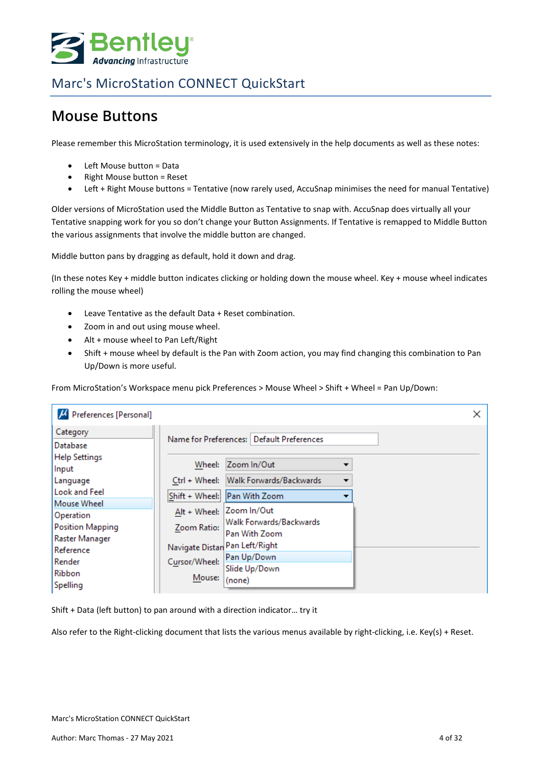

## <span id="page-3-0"></span>**Mouse Buttons**

Please remember this MicroStation terminology, it is used extensively in the help documents as well as these notes:

- Left Mouse button = Data
- Right Mouse button = Reset
- Left + Right Mouse buttons = Tentative (now rarely used, AccuSnap minimises the need for manual Tentative)

Older versions of MicroStation used the Middle Button as Tentative to snap with. AccuSnap does virtually all your Tentative snapping work for you so don't change your Button Assignments. If Tentative is remapped to Middle Button the various assignments that involve the middle button are changed.

Middle button pans by dragging as default, hold it down and drag.

(In these notes Key + middle button indicates clicking or holding down the mouse wheel. Key + mouse wheel indicates rolling the mouse wheel)

- Leave Tentative as the default Data + Reset combination.
- Zoom in and out using mouse wheel.
- Alt + mouse wheel to Pan Left/Right
- Shift + mouse wheel by default is the Pan with Zoom action, you may find changing this combination to Pan Up/Down is more useful.

From MicroStation's Workspace menu pick Preferences > Mouse Wheel > Shift + Wheel = Pan Up/Down:

| H Preferences [Personal]             |                                |                                                          |  |
|--------------------------------------|--------------------------------|----------------------------------------------------------|--|
| Category<br>Database                 |                                | Name for Preferences:   Default Preferences              |  |
| <b>Help Settings</b><br>Input        | Wheel:                         | Zoom In/Out                                              |  |
| Language<br><b>Look and Feel</b>     |                                | Ctrl + Wheel: Walk Forwards/Backwards<br>▼               |  |
| Mouse Wheel                          |                                | Shift + Wheel: Pan With Zoom<br>Alt + Wheel: Zoom In/Out |  |
| Operation<br><b>Position Mapping</b> | Zoom Ratio:                    | Walk Forwards/Backwards<br>Pan With Zoom                 |  |
| Raster Manager<br>Reference          | Navigate Distan Pan Left/Right |                                                          |  |
| Render<br>Ribbon                     | Cursor/Wheel:                  | Pan Up/Down<br>Slide Up/Down                             |  |
| Spelling                             | Mouse:                         | (none)                                                   |  |

Shift + Data (left button) to pan around with a direction indicator… try it

Also refer to the Right-clicking document that lists the various menus available by right-clicking, i.e. Key(s) + Reset.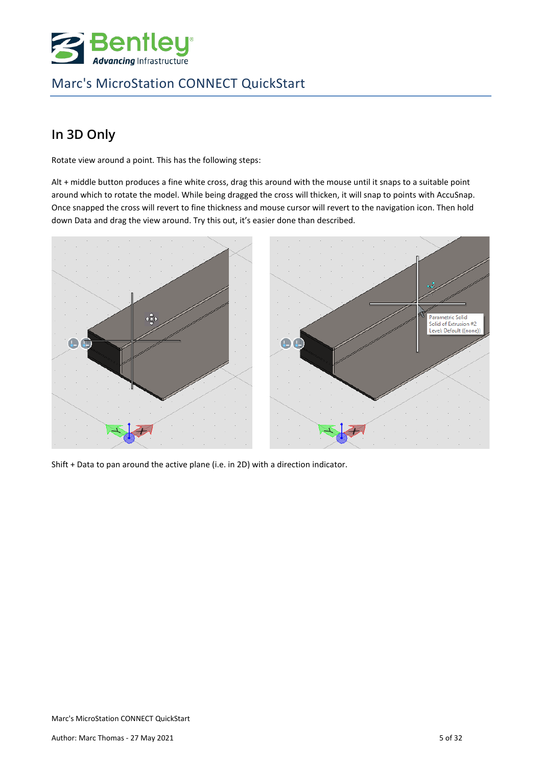

## **In 3D Only**

Rotate view around a point. This has the following steps:

Alt + middle button produces a fine white cross, drag this around with the mouse until it snaps to a suitable point around which to rotate the model. While being dragged the cross will thicken, it will snap to points with AccuSnap. Once snapped the cross will revert to fine thickness and mouse cursor will revert to the navigation icon. Then hold down Data and drag the view around. Try this out, it's easier done than described.



Shift + Data to pan around the active plane (i.e. in 2D) with a direction indicator.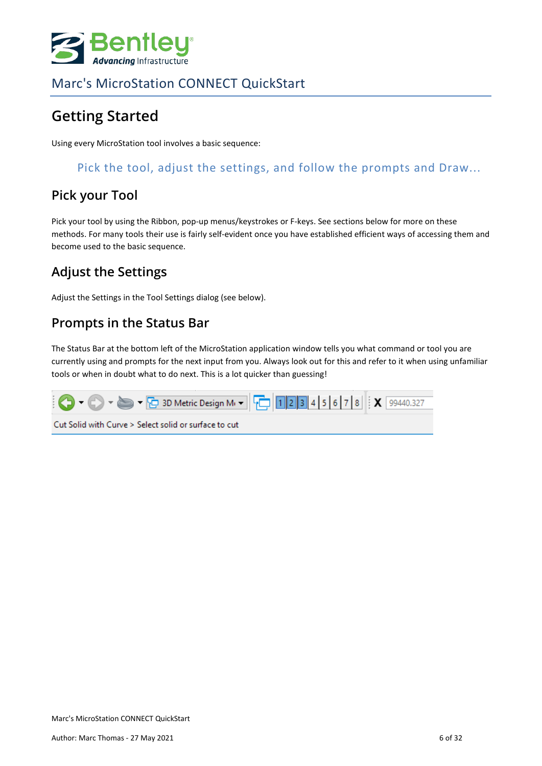

# <span id="page-5-0"></span>**Getting Started**

Using every MicroStation tool involves a basic sequence:

#### Pick the tool, adjust the settings, and follow the prompts and Draw...

#### **Pick your Tool**

Pick your tool by using the Ribbon, pop-up menus/keystrokes or F-keys. See sections below for more on these methods. For many tools their use is fairly self-evident once you have established efficient ways of accessing them and become used to the basic sequence.

#### **Adjust the Settings**

Adjust the Settings in the Tool Settings dialog (see below).

#### **Prompts in the Status Bar**

The Status Bar at the bottom left of the MicroStation application window tells you what command or tool you are currently using and prompts for the next input from you. Always look out for this and refer to it when using unfamiliar tools or when in doubt what to do next. This is a lot quicker than guessing!

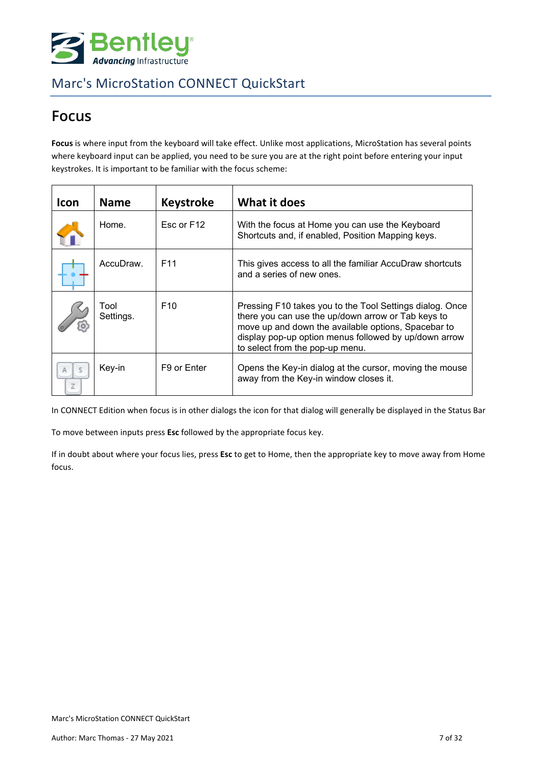

## <span id="page-6-0"></span>**Focus**

Focus is where input from the keyboard will take effect. Unlike most applications, MicroStation has several points where keyboard input can be applied, you need to be sure you are at the right point before entering your input keystrokes. It is important to be familiar with the focus scheme:

| Icon | <b>Name</b>       | <b>Keystroke</b>        | What it does                                                                                                                                                                                                                                                      |
|------|-------------------|-------------------------|-------------------------------------------------------------------------------------------------------------------------------------------------------------------------------------------------------------------------------------------------------------------|
|      | Home.             | Esc or F12              | With the focus at Home you can use the Keyboard<br>Shortcuts and, if enabled, Position Mapping keys.                                                                                                                                                              |
|      | AccuDraw.         | F <sub>11</sub>         | This gives access to all the familiar AccuDraw shortcuts<br>and a series of new ones.                                                                                                                                                                             |
|      | Tool<br>Settings. | F <sub>10</sub>         | Pressing F10 takes you to the Tool Settings dialog. Once<br>there you can use the up/down arrow or Tab keys to<br>move up and down the available options, Spacebar to<br>display pop-up option menus followed by up/down arrow<br>to select from the pop-up menu. |
| Z    | Key-in            | F <sub>9</sub> or Enter | Opens the Key-in dialog at the cursor, moving the mouse<br>away from the Key-in window closes it.                                                                                                                                                                 |

In CONNECT Edition when focus is in other dialogs the icon for that dialog will generally be displayed in the Status Bar

To move between inputs press **Esc** followed by the appropriate focus key.

If in doubt about where your focus lies, press **Esc** to get to Home, then the appropriate key to move away from Home focus.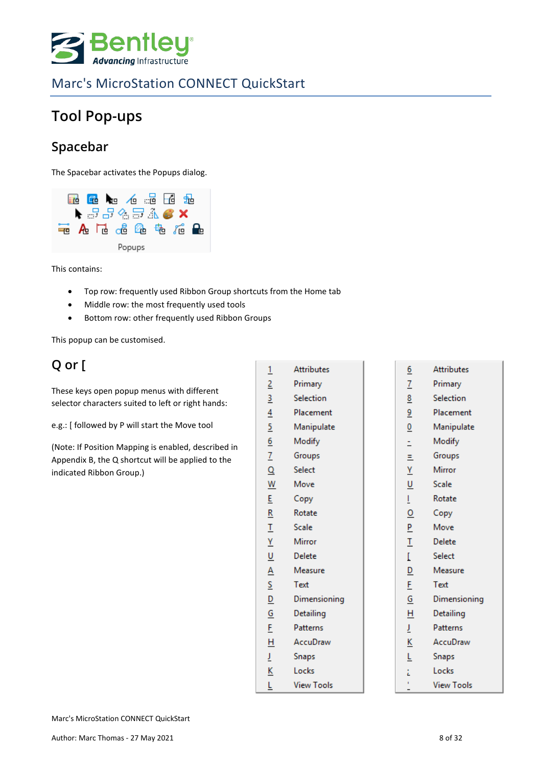

# <span id="page-7-0"></span>**Tool Pop-ups**

### **Spacebar**

The Spacebar activates the Popups dialog.



This contains:

- Top row: frequently used Ribbon Group shortcuts from the Home tab
- Middle row: the most frequently used tools
- Bottom row: other frequently used Ribbon Groups

This popup can be customised.

## **Q or [**

These keys open popup menus with different selector characters suited to left or right hands:

e.g.: [ followed by P will start the Move tool

(Note: If Position Mapping is enabled, described in Appendix B, the Q shortcut will be applied to the indicated Ribbon Group.)

| $\overline{1}$          | <b>Attributes</b> | $\overline{6}$           | <b>Attributes</b> |
|-------------------------|-------------------|--------------------------|-------------------|
| $\overline{2}$          | Primary           | $\overline{1}$           | Primary           |
| $\overline{\mathbf{3}}$ | Selection         | $\overline{\mathbf{8}}$  | Selection         |
| $\frac{4}{1}$           | Placement         | $\overline{6}$           | Placement         |
| $\overline{5}$          | Manipulate        | $\underline{0}$          | Manipulate        |
| $\frac{6}{2}$           | Modify            | Ė,                       | Modify            |
|                         | Groups            | Ξ                        | Groups            |
| $\frac{7}{9}$           | Select            | Y                        | Mirror            |
| $\overline{w}$          | Move              | $\overline{\mathsf{U}}$  | Scale             |
| E                       | Copy              | L                        | Rotate            |
| $\overline{\mathsf{R}}$ | Rotate            | $\overline{0}$           | Copy              |
| $\overline{1}$          | Scale             | P                        | Move              |
| $\frac{V}{\sqrt{2}}$    | Mirror            | I                        | <b>Delete</b>     |
| $u$                     | Delete            | L                        | Select            |
| $\frac{A}{S}$           | Measure           | $\overline{\mathsf{D}}$  | Measure           |
|                         | Text              | E                        | Text              |
|                         | Dimensioning      | $\underline{\mathsf{G}}$ | Dimensioning      |
| $\overline{G}$          | Detailing         | Н                        | Detailing         |
| $\bar{E}$               | <b>Patterns</b>   | Ţ                        | Patterns          |
| H                       | AccuDraw          | <u>К</u>                 | AccuDraw          |
| Ī                       | <b>Snaps</b>      | Ļ                        | Snaps             |
| K                       | Locks             | Ë                        | Locks             |
| Ĺ                       | <b>View Tools</b> |                          | <b>View Tools</b> |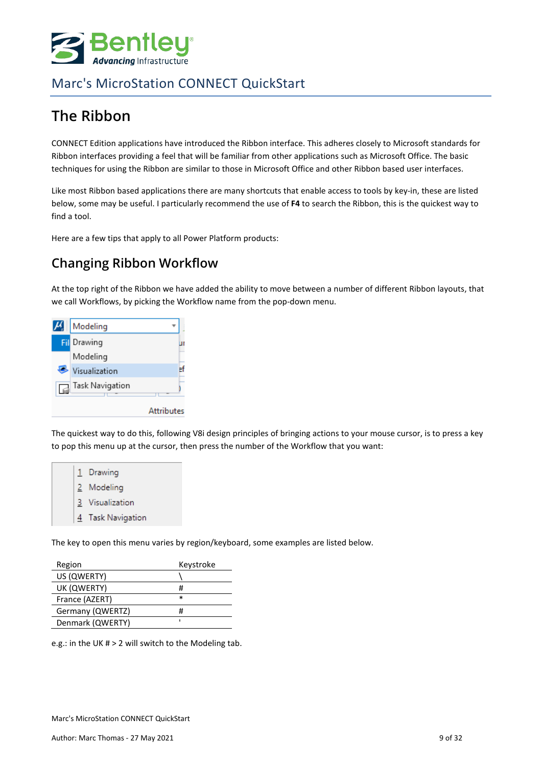

# <span id="page-8-0"></span>**The Ribbon**

CONNECT Edition applications have introduced the Ribbon interface. This adheres closely to Microsoft standards for Ribbon interfaces providing a feel that will be familiar from other applications such as Microsoft Office. The basic techniques for using the Ribbon are similar to those in Microsoft Office and other Ribbon based user interfaces.

Like most Ribbon based applications there are many shortcuts that enable access to tools by key-in, these are listed below, some may be useful. I particularly recommend the use of **F4** to search the Ribbon, this is the quickest way to find a tool.

Here are a few tips that apply to all Power Platform products:

### **Changing Ribbon Workflow**

At the top right of the Ribbon we have added the ability to move between a number of different Ribbon layouts, that we call Workflows, by picking the Workflow name from the pop-down menu.

| Modeling        |                   |
|-----------------|-------------------|
| Fil Drawing     |                   |
| Modeling        |                   |
| Visualization   |                   |
| Task Navigation |                   |
|                 | <b>Attributes</b> |

The quickest way to do this, following V8i design principles of bringing actions to your mouse cursor, is to press a key to pop this menu up at the cursor, then press the number of the Workflow that you want:



The key to open this menu varies by region/keyboard, some examples are listed below.

| Region           | Keystroke |
|------------------|-----------|
| US (QWERTY)      |           |
| UK (QWERTY)      | #         |
| France (AZERT)   | ж         |
| Germany (QWERTZ) | #         |
| Denmark (QWERTY) | ı         |
|                  |           |

e.g.: in the UK # > 2 will switch to the Modeling tab.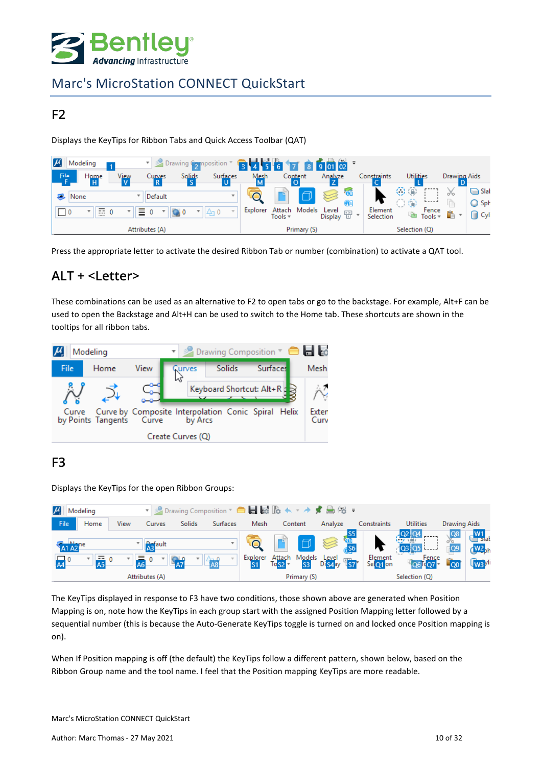

#### **F2**

Displays the KeyTips for Ribbon Tabs and Quick Access Toolbar (QAT)

| $\mu$<br>Modeling                                                         | Drawing Composition<br>▼                 |                                      |                          | $-60102$                                                             |                      |                                                  |                         |
|---------------------------------------------------------------------------|------------------------------------------|--------------------------------------|--------------------------|----------------------------------------------------------------------|----------------------|--------------------------------------------------|-------------------------|
| File<br>Home                                                              | View<br>Solids<br>Curves<br>$\mathbf{c}$ | Surfaces                             | Mesh<br>Content          | Analyze                                                              | Constraints          | <b>Utilities</b><br>Drawing Aids                 |                         |
| None                                                                      | Default                                  | $\mathbf{v}$                         | ð                        | <b>GE</b><br>$\odot$                                                 | OB<br>00             | 26<br><b>L</b> ___                               | $\bigcap$ Slat<br>◯ Sph |
| $\overline{0}$<br>$\mathbf{0}$<br>$\mathbf{r}$<br>$\overline{a}$<br>----- | Ξ.                                       | Explorer<br>$\mathbb{I}[\Delta_1 0]$ | Attach Models<br>Tools = | Level<br>$\frac{\overline{a}+\overline{b}}{\overline{a}}$<br>Display | Element<br>Selection | Fence<br>ĥ<br>$\overline{\mathbf{v}}$<br>Tools = | $\bigcap$ Cyl           |
|                                                                           | Attributes (A)                           |                                      | Primary (S)              |                                                                      |                      | Selection (Q)                                    |                         |

Press the appropriate letter to activate the desired Ribbon Tab or number (combination) to activate a QAT tool.

#### **ALT + <Letter>**

These combinations can be used as an alternative to F2 to open tabs or go to the backstage. For example, Alt+F can be used to open the Backstage and Alt+H can be used to switch to the Home tab. These shortcuts are shown in the tooltips for all ribbon tabs.



#### **F3**

Displays the KeyTips for the open Ribbon Groups:

| $\mu$ | Modeling  |      |                                                |               | ▼ 2 Drawing Composition ▼ ● ■ 最 Le ★ ▼ ★ す 曲 (や 〒 |          |                             |                                    |                                                 |                                       |                                                               |                       |                                                                 |
|-------|-----------|------|------------------------------------------------|---------------|---------------------------------------------------|----------|-----------------------------|------------------------------------|-------------------------------------------------|---------------------------------------|---------------------------------------------------------------|-----------------------|-----------------------------------------------------------------|
| File  | Home      | View | <b>Curves</b>                                  | <b>Solids</b> | Surfaces                                          | Mesh     |                             | Content                            | Analyze                                         | Constraints                           | <b>Utilities</b>                                              | Drawing Aids          |                                                                 |
| A1 A2 | 트 0<br>5Α |      | A <sub>3</sub> <sup>ault</sup><br>$\mathbf{0}$ |               | $-48$                                             | Explorer | A <u>ttac</u> h<br>$ToS2 -$ | $\Box$<br>Models<br>S <sub>3</sub> | $\approx$<br>Level<br>Di <mark>s4</mark> ay 457 | S5<br>Ga<br>GS6<br>Element<br>Seloton | $rac{Q2}{2}$ $rac{Q4}{4}$<br>$Q3$ $Q5$<br>Fence<br>$\log 107$ | <b>Q9</b><br>$\infty$ | $\frac{W1}{S}$ slat<br>$W2$ <sub>ph</sub><br>W <sub>3</sub> yli |
|       |           |      | Attributes (A)                                 |               |                                                   |          |                             | Primary (S)                        |                                                 |                                       | Selection (Q)                                                 |                       |                                                                 |

The KeyTips displayed in response to F3 have two conditions, those shown above are generated when Position Mapping is on, note how the KeyTips in each group start with the assigned Position Mapping letter followed by a sequential number (this is because the Auto-Generate KeyTips toggle is turned on and locked once Position mapping is on).

When If Position mapping is off (the default) the KeyTips follow a different pattern, shown below, based on the Ribbon Group name and the tool name. I feel that the Position mapping KeyTips are more readable.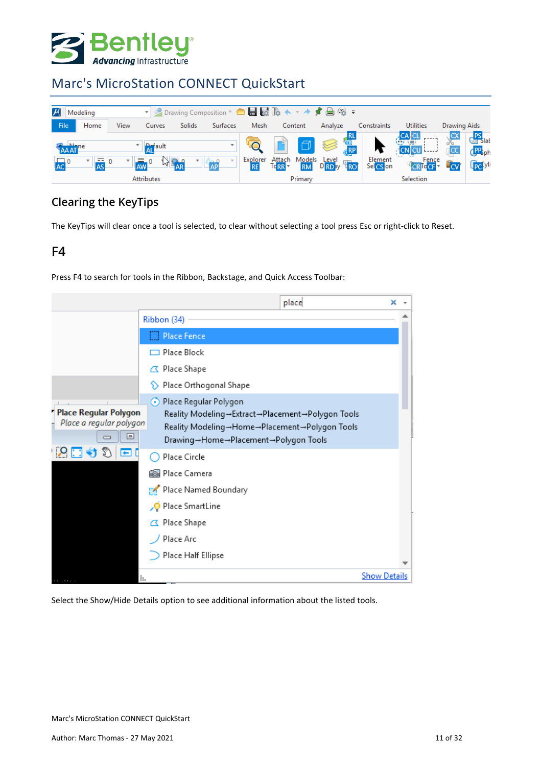

| $\mu_{\scriptscriptstyle\rm g}$<br>Modeling                        | ▼ 2 Drawing Composition ▼ ● ■ 最 脆 ヘ ▼ ★ す 曲 俗 ▼                         |                                                                                                 |                                                               |                                   |                                             |                                                                                                                 |
|--------------------------------------------------------------------|-------------------------------------------------------------------------|-------------------------------------------------------------------------------------------------|---------------------------------------------------------------|-----------------------------------|---------------------------------------------|-----------------------------------------------------------------------------------------------------------------|
| File<br>Home<br>View                                               | Solids<br><b>Surfaces</b><br>Curves                                     | Mesh<br>Content                                                                                 | Analyze                                                       | Constraints                       | <b>Utilities</b>                            | Drawing Aids                                                                                                    |
| AAAT <sup>ne</sup><br>$\overline{AS}$ <sup>0</sup><br>$\mathbf{r}$ | <b>Refault</b><br>12.90<br>Λ– ∩<br><b>AW</b><br>AP<br><b>Attributes</b> | $\Box$<br>Models<br>Attach<br>Explorer<br><b>RE</b><br>Td <sub>RR</sub><br><b>RM</b><br>Primary | <b>Children</b><br>S<br>Level<br>D <b>RD</b> av<br><b>TRO</b> | Element<br>Sel <mark>CS</mark> on | <b>CALCL</b><br>Fence<br>Torel<br>Selection | <b>PS</b><br>Slat<br><b>PP</b> <sub>ph</sub><br>$\overline{\phantom{a}}$ CC<br><b>G<sub>PC</sub></b> yli<br>In. |

#### **Clearing the KeyTips**

The KeyTips will clear once a tool is selected, to clear without selecting a tool press Esc or right-click to Reset.

#### **F4**

Press F4 to search for tools in the Ribbon, Backstage, and Quick Access Toolbar:

|                                                                           |                                                                                                                                                              | place | ×                   |  |
|---------------------------------------------------------------------------|--------------------------------------------------------------------------------------------------------------------------------------------------------------|-------|---------------------|--|
|                                                                           | Ribbon (34)                                                                                                                                                  |       |                     |  |
|                                                                           | Place Fence                                                                                                                                                  |       |                     |  |
|                                                                           | Place Block                                                                                                                                                  |       |                     |  |
|                                                                           | △ Place Shape                                                                                                                                                |       |                     |  |
|                                                                           | Place Orthogonal Shape                                                                                                                                       |       |                     |  |
| Place Regular Polygon<br>Place a regular polygon<br>⊟                     | Regular Polygon<br>Reality Modeling→Extract→Placement→Polygon Tools<br>Reality Modeling→Home→Placement→Polygon Tools<br>Drawing→Home→Placement→Polygon Tools |       |                     |  |
| بر ا<br>а                                                                 | Place Circle                                                                                                                                                 |       |                     |  |
|                                                                           | <b>S</b> Place Camera                                                                                                                                        |       |                     |  |
|                                                                           | Place Named Boundary                                                                                                                                         |       |                     |  |
|                                                                           | Place SmartLine                                                                                                                                              |       |                     |  |
|                                                                           | △ Place Shape                                                                                                                                                |       |                     |  |
|                                                                           | Place Arc                                                                                                                                                    |       |                     |  |
|                                                                           | Place Half Ellipse                                                                                                                                           |       |                     |  |
| $\mathbb{R} \longrightarrow \mathbb{R} \times \mathbb{R} \longrightarrow$ | Ŀ.                                                                                                                                                           |       | <b>Show Details</b> |  |

Select the Show/Hide Details option to see additional information about the listed tools.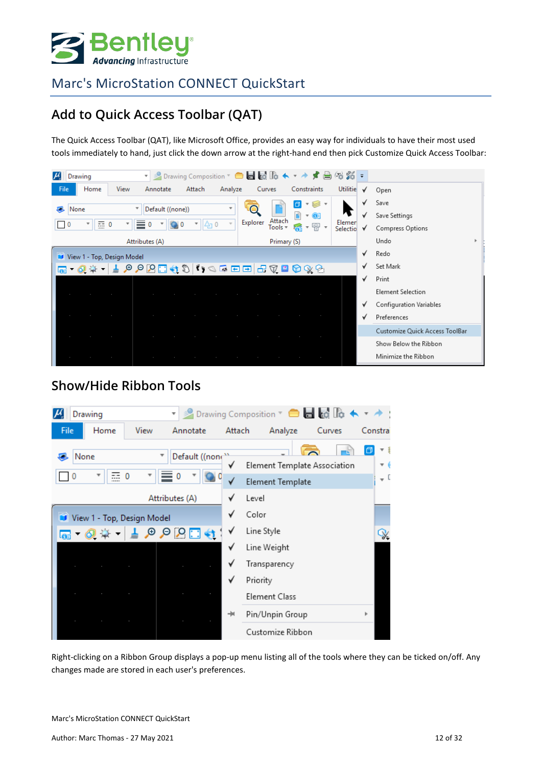

## **Add to Quick Access Toolbar (QAT)**

The Quick Access Toolbar (QAT), like Microsoft Office, provides an easy way for individuals to have their most used tools immediately to hand, just click the down arrow at the right-hand end then pick Customize Quick Access Toolbar:

| Drawing<br>$ \mu $                                | ▼ 2 Drawing Composition ▼ ● ■ 最 脆 ★ ▼ ★ す 曲 俗 貉 〒 |                               |                                                                   |                              |                                           |
|---------------------------------------------------|---------------------------------------------------|-------------------------------|-------------------------------------------------------------------|------------------------------|-------------------------------------------|
| Home<br>File<br>View                              | Annotate<br>Attach<br>Analyze                     | Curves                        | Constraints                                                       | Utilitie<br>√                | Open                                      |
| None<br>$\equiv 0$<br>$\equiv$ 0<br>v<br>$\bf{0}$ | Default ((none))<br>v<br>$\mathbb{A}_1$ 0         | Attach<br>Explorer<br>Tools = | ▾◙▾<br>$\vert \sigma \vert$<br>n<br>* OI<br>● ■ ■ ■ ■ ■ ■ ■ ■ ■ ■ | √<br>✓<br>Elemer<br>Selectio | Save<br>Save Settings<br>Compress Options |
| Attributes (A)                                    |                                                   | Primary (S)                   |                                                                   |                              | Undo                                      |
| View 1 - Top, Design Model                        |                                                   |                               |                                                                   | √                            | Redo                                      |
| la.                                               |                                                   |                               |                                                                   |                              | Set Mark                                  |
|                                                   |                                                   |                               |                                                                   | √                            | Print                                     |
| <b>Contract Contract</b>                          | $\sim$                                            | $\sim$<br>$\sim$              | $\sim$                                                            |                              | <b>Element Selection</b>                  |
|                                                   |                                                   |                               |                                                                   | ٧                            | Configuration Variables                   |
| the control of the control of the                 |                                                   | $\sim$<br>$\sim$              | $\sim$                                                            | $\checkmark$                 | Preferences                               |
| the control of the control of                     | $\sim$                                            |                               |                                                                   |                              | Customize Quick Access ToolBar            |
|                                                   |                                                   |                               |                                                                   |                              | Show Below the Ribbon                     |
|                                                   |                                                   |                               |                                                                   |                              | Minimize the Ribbon                       |

#### **Show/Hide Ribbon Tools**



Right-clicking on a Ribbon Group displays a pop-up menu listing all of the tools where they can be ticked on/off. Any changes made are stored in each user's preferences.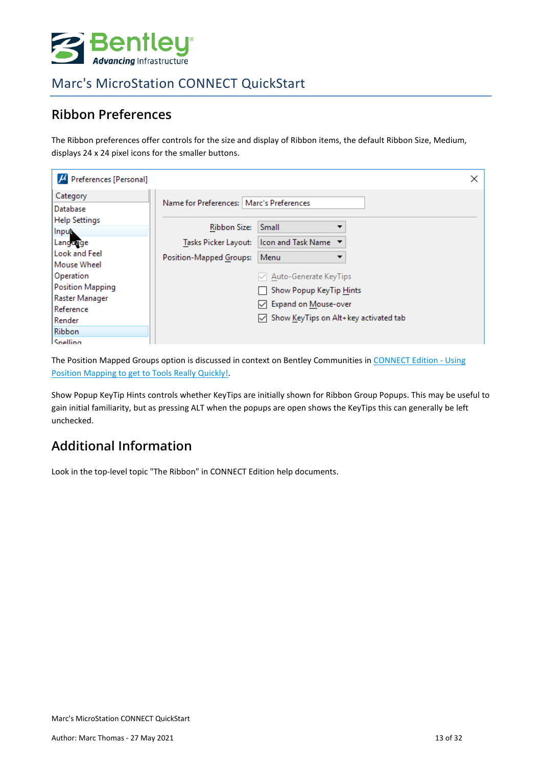

#### **Ribbon Preferences**

The Ribbon preferences offer controls for the size and display of Ribbon items, the default Ribbon Size, Medium, displays 24 x 24 pixel icons for the smaller buttons.

| $\mu$ Preferences [Personal]               |                                            |                                                    |  |
|--------------------------------------------|--------------------------------------------|----------------------------------------------------|--|
| Category<br>Database                       | Name for Preferences:   Marc's Preferences |                                                    |  |
| <b>Help Settings</b><br>Input.             | <b>Ribbon Size:</b>                        | Small                                              |  |
| Language                                   | Tasks Picker Layout:                       | Icon and Task Name ▼                               |  |
| <b>Look and Feel</b><br><b>Mouse Wheel</b> | Position-Mapped Groups:                    | Menu                                               |  |
| Operation                                  |                                            | $\vee$ Auto-Generate KeyTips                       |  |
| <b>Position Mapping</b>                    |                                            | Show Popup KeyTip Hints                            |  |
| Raster Manager<br>Reference                |                                            | ○ Expand on Mouse-over                             |  |
| Render                                     |                                            | $\sqrt{\ }$ Show KeyTips on Alt+ key activated tab |  |
| <b>Ribbon</b>                              |                                            |                                                    |  |
| Snelling                                   |                                            |                                                    |  |

The Position Mapped Groups option is discussed in context on Bentley Communities i[n CONNECT Edition -](https://communities.bentley.com/other/old_site_member_blogs/peer_blogs/b/marc_thomass_blog/posts/connect-edition-using-position-mapping-to-get-to-tools-really-quickly) Using [Position Mapping to get to Tools Really Quickly!.](https://communities.bentley.com/other/old_site_member_blogs/peer_blogs/b/marc_thomass_blog/posts/connect-edition-using-position-mapping-to-get-to-tools-really-quickly)

Show Popup KeyTip Hints controls whether KeyTips are initially shown for Ribbon Group Popups. This may be useful to gain initial familiarity, but as pressing ALT when the popups are open shows the KeyTips this can generally be left unchecked.

## **Additional Information**

Look in the top-level topic "The Ribbon" in CONNECT Edition help documents.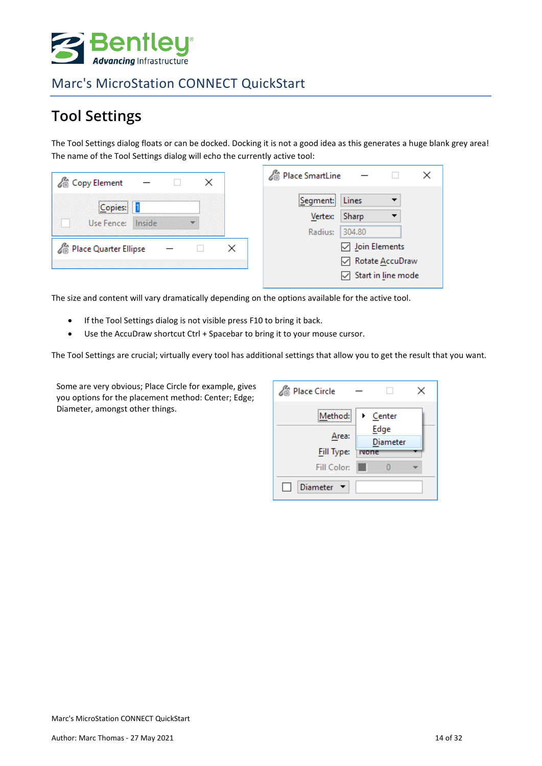

# <span id="page-13-0"></span>**Tool Settings**

The Tool Settings dialog floats or can be docked. Docking it is not a good idea as this generates a huge blank grey area! The name of the Tool Settings dialog will echo the currently active tool:

| Copy Element                        | Rise SmartLine                                                              |
|-------------------------------------|-----------------------------------------------------------------------------|
| <br>Copies:<br>Inside<br>Use Fence: | <br>Lines<br>:Segment:<br>Sharp<br><b>Vertex:</b><br>304.80<br>Radius:      |
| <sup>2</sup> Place Quarter Ellipse  | Join Elements<br>Rotate AccuDraw<br>$\sqrt{\phantom{a}}$ Start in line mode |

The size and content will vary dramatically depending on the options available for the active tool.

- If the Tool Settings dialog is not visible press F10 to bring it back.
- Use the AccuDraw shortcut Ctrl + Spacebar to bring it to your mouse cursor.

The Tool Settings are crucial; virtually every tool has additional settings that allow you to get the result that you want.

Some are very obvious; Place Circle for example, gives you options for the placement method: Center; Edge; Diameter, amongst other things.

| <b>Place Circle</b> |                  |
|---------------------|------------------|
| Method:             | Center           |
| Area:               | Edge<br>Diameter |
| <b>Fill Type:</b>   | <b>ivone</b>     |
| Fill Color:         |                  |
| Diameter <b>v</b>   |                  |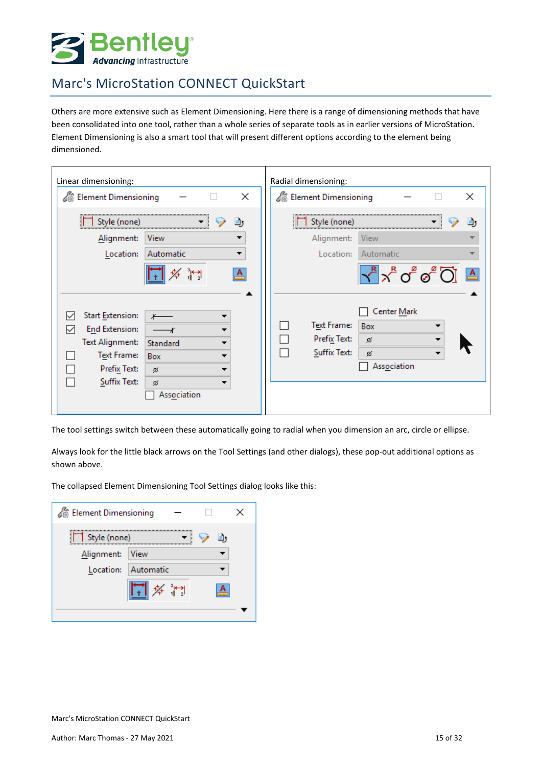

Others are more extensive such as Element Dimensioning. Here there is a range of dimensioning methods that have been consolidated into one tool, rather than a whole series of separate tools as in earlier versions of MicroStation. Element Dimensioning is also a smart tool that will present different options according to the element being dimensioned.

| Linear dimensioning:                                                                                                                                                                                                      | Radial dimensioning:                                                                                                                                 |
|---------------------------------------------------------------------------------------------------------------------------------------------------------------------------------------------------------------------------|------------------------------------------------------------------------------------------------------------------------------------------------------|
| Element Dimensioning                                                                                                                                                                                                      | <b>SE Element Dimensioning</b>                                                                                                                       |
| ×                                                                                                                                                                                                                         | ×                                                                                                                                                    |
| Style (none)                                                                                                                                                                                                              | Style (none)                                                                                                                                         |
|                                                                                                                                                                                                                           |                                                                                                                                                      |
| Alignment:                                                                                                                                                                                                                | Alignment:                                                                                                                                           |
| View                                                                                                                                                                                                                      | View                                                                                                                                                 |
| Location:                                                                                                                                                                                                                 | Location:                                                                                                                                            |
| Automatic                                                                                                                                                                                                                 | Automatic                                                                                                                                            |
| $\mathbf{A}$<br><b>Start Extension:</b><br>$\checkmark$<br><b>End Extension:</b><br>∨<br><b>Text Alignment:</b><br>Standard<br>▼<br>Text Frame:<br>Box<br>▼<br>Prefix Text:<br>ø<br>Suffix Text:<br>ø<br>▼<br>Association | $\sqrt{3} \times^8$ o $\sqrt{3}$ $\sqrt{2}$ $\sqrt{4}$<br>Center Mark<br>Text Frame:<br>Box<br>Prefix Text:<br>ø<br>Suffix Text:<br>ø<br>Association |

The tool settings switch between these automatically going to radial when you dimension an arc, circle or ellipse.

Always look for the little black arrows on the Tool Settings (and other dialogs), these pop-out additional options as shown above.

The collapsed Element Dimensioning Tool Settings dialog looks like this:

| <b>Element Dimensioning</b> |                                                                                  |  |
|-----------------------------|----------------------------------------------------------------------------------|--|
| Style (none)                |                                                                                  |  |
| Alignment:                  | View                                                                             |  |
| Location:                   | Automatic                                                                        |  |
|                             | $\begin{array}{c} \begin{array}{c} 3 & \bullet \\ 1 & 2 \end{array} \end{array}$ |  |
|                             |                                                                                  |  |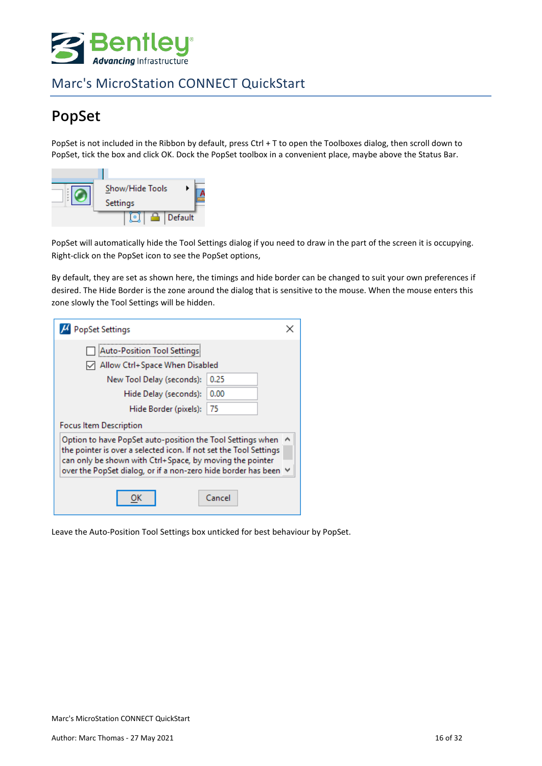

# <span id="page-15-0"></span>**PopSet**

PopSet is not included in the Ribbon by default, press Ctrl + T to open the Toolboxes dialog, then scroll down to PopSet, tick the box and click OK. Dock the PopSet toolbox in a convenient place, maybe above the Status Bar.



PopSet will automatically hide the Tool Settings dialog if you need to draw in the part of the screen it is occupying. Right-click on the PopSet icon to see the PopSet options,

By default, they are set as shown here, the timings and hide border can be changed to suit your own preferences if desired. The Hide Border is the zone around the dialog that is sensitive to the mouse. When the mouse enters this zone slowly the Tool Settings will be hidden.

| <b>PopSet Settings</b>                                                                                                                                                                                                                                         | ×      |
|----------------------------------------------------------------------------------------------------------------------------------------------------------------------------------------------------------------------------------------------------------------|--------|
| Auto-Position Tool Settings                                                                                                                                                                                                                                    |        |
| Allow Ctrl+Space When Disabled                                                                                                                                                                                                                                 |        |
| New Tool Delay (seconds):                                                                                                                                                                                                                                      | 0.25   |
| Hide Delay (seconds):                                                                                                                                                                                                                                          | 0.00   |
| Hide Border (pixels):                                                                                                                                                                                                                                          | 75     |
| Focus Item Description                                                                                                                                                                                                                                         |        |
| Option to have PopSet auto-position the Tool Settings when<br>the pointer is over a selected icon. If not set the Tool Settings<br>can only be shown with Ctrl+Space, by moving the pointer<br>over the PopSet dialog, or if a non-zero hide border has been ∨ |        |
|                                                                                                                                                                                                                                                                | Cancel |

Leave the Auto-Position Tool Settings box unticked for best behaviour by PopSet.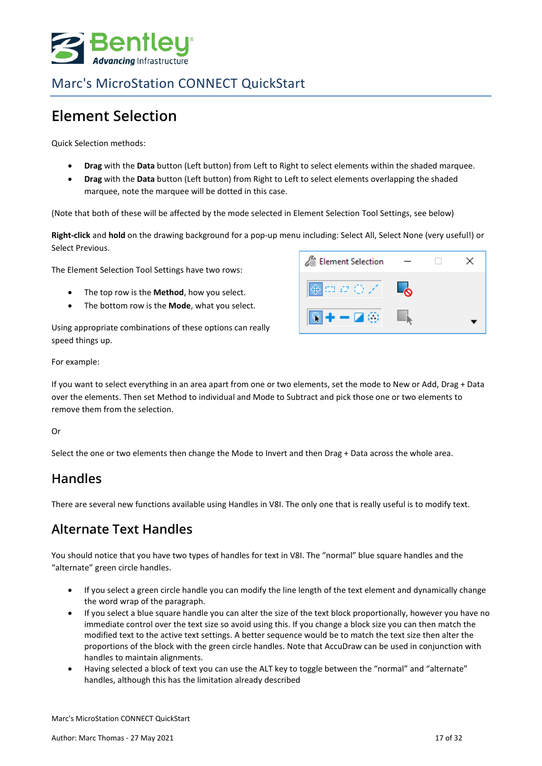

## <span id="page-16-0"></span>**Element Selection**

Quick Selection methods:

- **Drag** with the **Data** button (Left button) from Left to Right to select elements within the shaded marquee.
- **Drag** with the **Data** button (Left button) from Right to Left to select elements overlapping the shaded marquee, note the marquee will be dotted in this case.

(Note that both of these will be affected by the mode selected in Element Selection Tool Settings, see below)

**Right-click** and **hold** on the drawing background for a pop-up menu including: Select All, Select None (very useful!) or Select Previous.

The Element Selection Tool Settings have two rows:

- The top row is the **Method**, how you select.
- The bottom row is the **Mode**, what you select.

Using appropriate combinations of these options can really speed things up.



For example:

If you want to select everything in an area apart from one or two elements, set the mode to New or Add, Drag + Data over the elements. Then set Method to individual and Mode to Subtract and pick those one or two elements to remove them from the selection.

Or

Select the one or two elements then change the Mode to Invert and then Drag + Data across the whole area.

#### **Handles**

There are several new functions available using Handles in V8I. The only one that is really useful is to modify text.

#### **Alternate Text Handles**

You should notice that you have two types of handles for text in V8I. The "normal" blue square handles and the "alternate" green circle handles.

- If you select a green circle handle you can modify the line length of the text element and dynamically change the word wrap of the paragraph.
- If you select a blue square handle you can alter the size of the text block proportionally, however you have no immediate control over the text size so avoid using this. If you change a block size you can then match the modified text to the active text settings. A better sequence would be to match the text size then alter the proportions of the block with the green circle handles. Note that AccuDraw can be used in conjunction with handles to maintain alignments.
- Having selected a block of text you can use the ALT key to toggle between the "normal" and "alternate" handles, although this has the limitation already described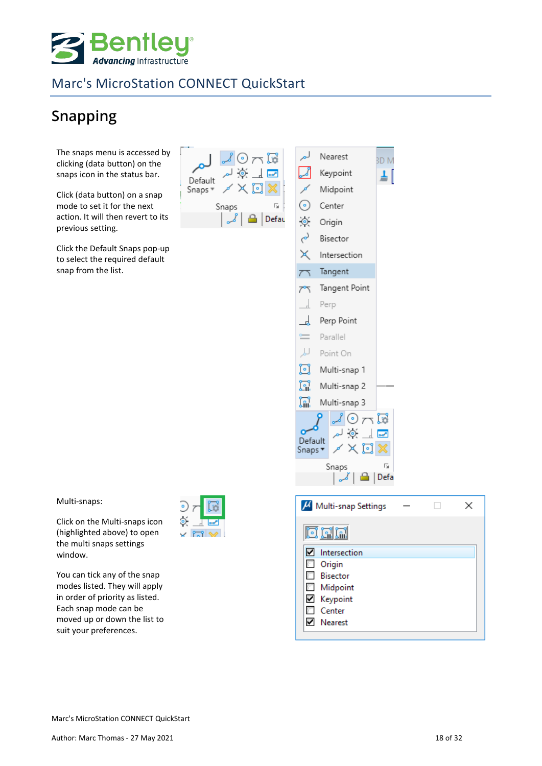

# <span id="page-17-0"></span>**Snapping**

The snaps menu is accessed by clicking (data button) on the snaps icon in the status bar.

Click (data button) on a snap mode to set it for the next action. It will then revert to its previous setting.

Click the Default Snaps pop-up to select the required default snap from the list.



Intersection Tangent Tangent Point  $\rightarrow$ Perp ᆚ Perp Point  $=$ Parallel 山 Point On ច្រ Multi-snap 1 n Multi-snap 2 W Multi-snap 3  $\odot$   $\lnot$   $\lnot$  $\overline{\phantom{a}}$ Default Snaps<sup>\*</sup>  $\times$ Snaps Γý,

**BDM** 

ᅬ

Multi-snaps:

Click on the Multi-snaps icon (highlighted above) to open the multi snaps settings window.

You can tick any of the snap modes listed. They will apply in order of priority as listed. Each snap mode can be moved up or down the list to suit your preferences.



| da   Defa                 |  |   |
|---------------------------|--|---|
| $\mu$ Multi-snap Settings |  | × |
| oda                       |  |   |
| Intersection<br>☑         |  |   |
| <b>Drigin</b>             |  |   |
| <b>Bisector</b>           |  |   |
| <b>Midpoint</b>           |  |   |
| ■ Keypoint                |  |   |
| $\Box$ Center             |  |   |
| <b>▽</b> Nearest          |  |   |
|                           |  |   |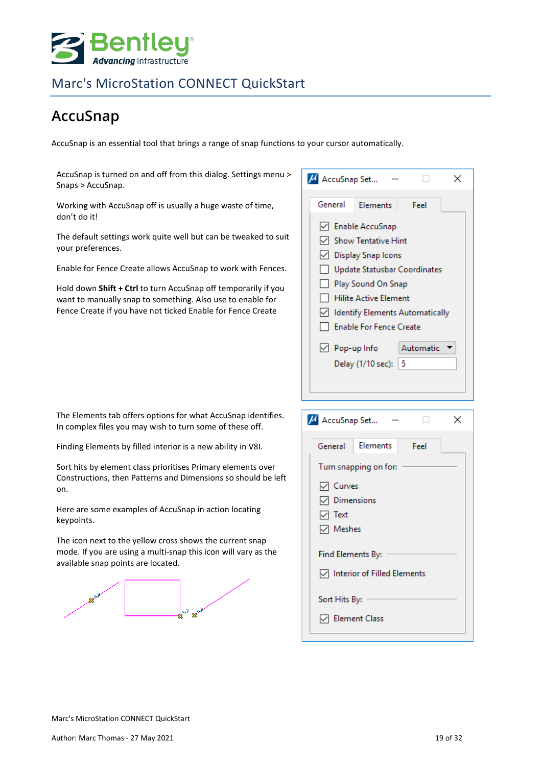

# <span id="page-18-0"></span>**AccuSnap**

AccuSnap is an essential tool that brings a range of snap functions to your cursor automatically.

| AccuSnap is turned on and off from this dialog. Settings menu ><br>Snaps > AccuSnap.                                                                                                                                                                                                                                                                | M AccuSnap Set<br>×                                                                                                                                                                                                                                                                         |
|-----------------------------------------------------------------------------------------------------------------------------------------------------------------------------------------------------------------------------------------------------------------------------------------------------------------------------------------------------|---------------------------------------------------------------------------------------------------------------------------------------------------------------------------------------------------------------------------------------------------------------------------------------------|
| Working with AccuSnap off is usually a huge waste of time,<br>don't do it!                                                                                                                                                                                                                                                                          | General<br><b>Elements</b><br>Feel<br>□ Enable AccuSnap                                                                                                                                                                                                                                     |
| The default settings work quite well but can be tweaked to suit<br>your preferences.<br>Enable for Fence Create allows AccuSnap to work with Fences.<br>Hold down Shift + Ctrl to turn AccuSnap off temporarily if you<br>want to manually snap to something. Also use to enable for<br>Fence Create if you have not ticked Enable for Fence Create | $\sqrt{\phantom{a}}$ Show Tentative Hint<br>○ Display Snap Icons<br>Update Statusbar Coordinates<br>Play Sound On Snap<br><b>Hilite Active Element</b><br>Identify Elements Automatically<br><b>Enable For Fence Create</b><br>$\boxdot$ Pop-up Info<br>Automatic<br>Delay (1/10 sec):<br>5 |
| The Elements tab offers options for what AccuSnap identifies.<br>In complex files you may wish to turn some of these off.                                                                                                                                                                                                                           | M AccuSnap Set<br>×                                                                                                                                                                                                                                                                         |
| Finding Elements by filled interior is a new ability in V8I.                                                                                                                                                                                                                                                                                        | Elements<br>General<br>Feel                                                                                                                                                                                                                                                                 |
| Sort hits by element class prioritises Primary elements over<br>Constructions, then Patterns and Dimensions so should be left<br>on.<br>Here are some examples of AccuSnap in action locating<br>keypoints.                                                                                                                                         | Turn snapping on for:<br>$\sqrt{ }$ Curves<br>$\nabla$ Dimensions<br>√ Text                                                                                                                                                                                                                 |
| The icon next to the yellow cross shows the current snap<br>mode. If you are using a multi-snap this icon will vary as the<br>available snap points are located.                                                                                                                                                                                    | <b>∞</b> Meshes<br>Find Elements By:<br>Interior of Filled Elements<br>Sort Hits By:<br>$\sqrt{ }$ Element Class                                                                                                                                                                            |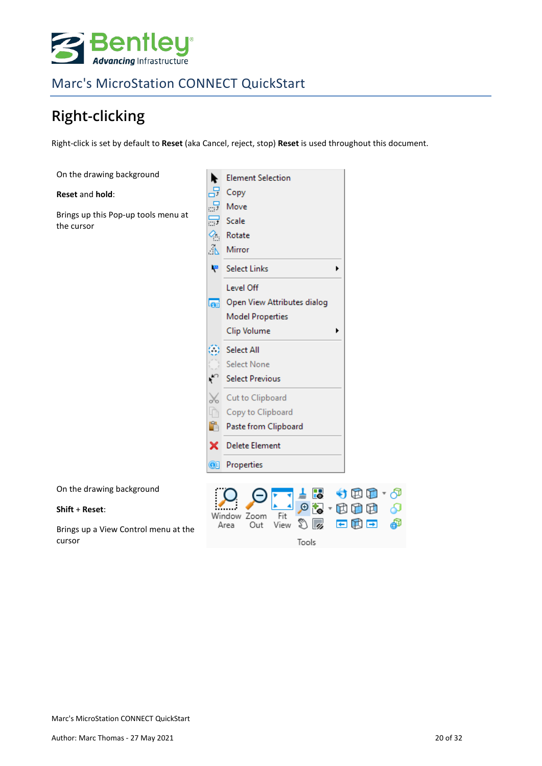

# <span id="page-19-0"></span>**Right-clicking**

Right-click is set by default to **Reset** (aka Cancel, reject, stop) **Reset** is used throughout this document.

| On the drawing background                      | <b>Element Selection</b><br>r                                 |
|------------------------------------------------|---------------------------------------------------------------|
| Reset and hold:                                | 品<br>Copy                                                     |
| Brings up this Pop-up tools menu at            | 릂<br>Move                                                     |
| the cursor                                     | $\overline{\mathbb{R}^d}$<br>Scale                            |
|                                                | ą.<br>Rotate<br>Ã<br>Mirror                                   |
|                                                |                                                               |
|                                                | ١e<br><b>Select Links</b>                                     |
|                                                | Level Off                                                     |
|                                                | Open View Attributes dialog<br>la.                            |
|                                                | <b>Model Properties</b>                                       |
|                                                | Clip Volume<br>▶                                              |
|                                                | <b>Select All</b><br>г.                                       |
|                                                | <b>Select None</b><br>٣<br><b>Select Previous</b>             |
|                                                |                                                               |
|                                                | Cut to Clipboard<br>No                                        |
|                                                | Copy to Clipboard<br>Ĥ<br>Paste from Clipboard                |
|                                                |                                                               |
|                                                | <b>Delete Element</b><br>×                                    |
|                                                | Properties<br>$\odot$                                         |
| On the drawing background                      | Ъ<br>田                                                        |
| Shift + Reset:                                 | Œ<br>₶<br>Window Zoom<br>Fit                                  |
| Brings up a View Control menu at the<br>cursor | சி<br>o.<br>2,<br>E<br>エ<br>e<br>View<br>Out<br>Area<br>Tools |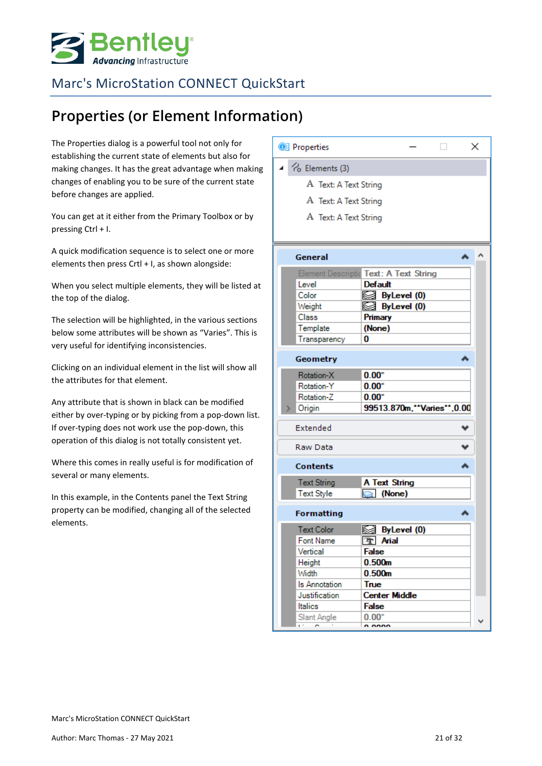

# <span id="page-20-0"></span>**Properties (or Element Information)**

The Properties dialog is a powerful tool not only for establishing the current state of elements but also for making changes. It has the great advantage when making changes of enabling you to be sure of the current state before changes are applied.

You can get at it either from the Primary Toolbox or by pressing Ctrl + I.

A quick modification sequence is to select one or more elements then press Crtl + I, as shown alongside:

When you select multiple elements, they will be listed at the top of the dialog.

The selection will be highlighted, in the various sections below some attributes will be shown as "Varies". This is very useful for identifying inconsistencies.

Clicking on an individual element in the list will show all the attributes for that element.

Any attribute that is shown in black can be modified either by over-typing or by picking from a pop-down list. If over-typing does not work use the pop-down, this operation of this dialog is not totally consistent yet.

Where this comes in really useful is for modification of several or many elements.

In this example, in the Contents panel the Text String property can be modified, changing all of the selected elements.

| <sup>3</sup> Properties                     |                                        | × |
|---------------------------------------------|----------------------------------------|---|
| $\triangle$ $\curvearrowright$ Elements (3) |                                        |   |
| A Text: A Text String                       |                                        |   |
| A Text: A Text String                       |                                        |   |
|                                             |                                        |   |
| A Text: A Text String                       |                                        |   |
|                                             |                                        |   |
| General                                     | ́                                      | ∧ |
|                                             | Element Descriptic Text: A Text String |   |
| Level                                       | <b>Default</b>                         |   |
| Color                                       | ⊠ ByLevel (0)                          |   |
| Weight                                      | Sea ByLevel (0)                        |   |
| Class                                       | Primary                                |   |
| Template                                    | (None)<br>0                            |   |
| Transparency                                |                                        |   |
| Geometry                                    |                                        |   |
| Rotation-X                                  | $0.00^\circ$                           |   |
| Rotation-Y                                  | $0.00^\circ$                           |   |
| Rotation-Z                                  | $0.00^\circ$                           |   |
| Origin                                      | 99513.870m."*Varies"*,0.00             |   |
| Extended                                    |                                        |   |
| Raw Data                                    |                                        |   |
| <b>Contents</b>                             |                                        |   |
| <b>Text String</b>                          | A Text String                          |   |
| <b>Text Style</b>                           | $\mathbb{Q}$<br>(None)                 |   |
| <b>Formatting</b>                           |                                        |   |
| <b>Text Color</b>                           | S ByLevel (0)                          |   |
| Font Name                                   | 雪 Arial                                |   |
| Vertical                                    | False                                  |   |
| Height                                      | 0.500m                                 |   |
| Width<br>Is Annotation                      | 0.500m<br>True                         |   |
| Justification                               | <b>Center Middle</b>                   |   |
| <b>Italics</b>                              | <b>False</b>                           |   |
| Slant Angle                                 | $0.00^\circ$                           |   |
|                                             | n nnnn                                 |   |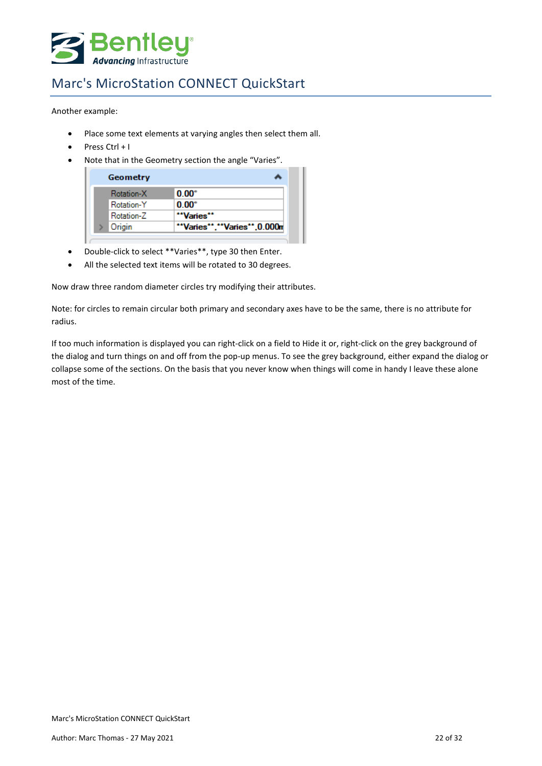

Another example:

- Place some text elements at varying angles then select them all.
- Press Ctrl + I
- Note that in the Geometry section the angle "Varies".

| Geometry   |                          |
|------------|--------------------------|
| Rotation-X | $0.00^\circ$             |
| Rotation-Y | $0.00^\circ$             |
| Rotation-Z | "Varies"                 |
| Origin     | "Varies","Varies",0.000m |

- Double-click to select \*\*Varies\*\*, type 30 then Enter.
- All the selected text items will be rotated to 30 degrees.

Now draw three random diameter circles try modifying their attributes.

Note: for circles to remain circular both primary and secondary axes have to be the same, there is no attribute for radius.

If too much information is displayed you can right-click on a field to Hide it or, right-click on the grey background of the dialog and turn things on and off from the pop-up menus. To see the grey background, either expand the dialog or collapse some of the sections. On the basis that you never know when things will come in handy I leave these alone most of the time.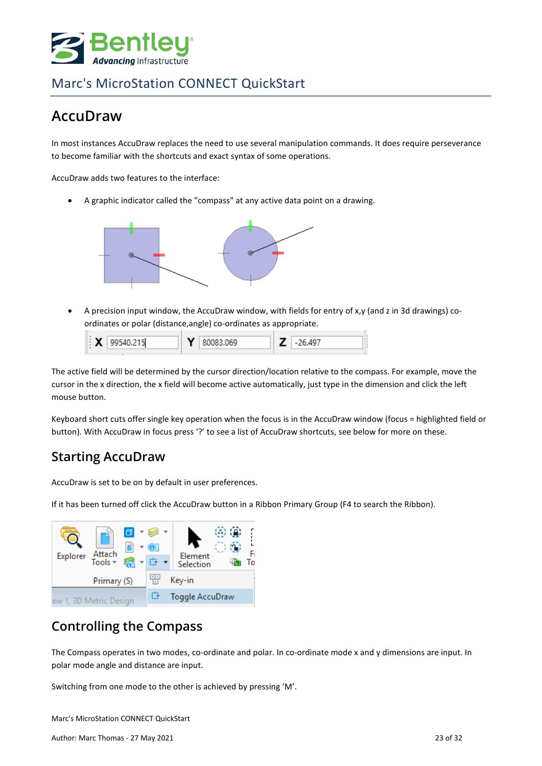

## <span id="page-22-0"></span>**AccuDraw**

In most instances AccuDraw replaces the need to use several manipulation commands. It does require perseverance to become familiar with the shortcuts and exact syntax of some operations.

AccuDraw adds two features to the interface:

• A graphic indicator called the "compass" at any active data point on a drawing.



• A precision input window, the AccuDraw window, with fields for entry of x,y (and z in 3d drawings) coordinates or polar (distance,angle) co-ordinates as appropriate.

| $\mathsf{X}$ 99540.215 | 80083.069 | 1497 - |
|------------------------|-----------|--------|
|                        |           |        |

The active field will be determined by the cursor direction/location relative to the compass. For example, move the cursor in the x direction, the x field will become active automatically, just type in the dimension and click the left mouse button.

Keyboard short cuts offer single key operation when the focus is in the AccuDraw window (focus = highlighted field or button). With AccuDraw in focus press '?' to see a list of AccuDraw shortcuts, see below for more on these.

## **Starting AccuDraw**

AccuDraw is set to be on by default in user preferences.

If it has been turned off click the AccuDraw button in a Ribbon Primary Group (F4 to search the Ribbon).



#### **Controlling the Compass**

The Compass operates in two modes, co-ordinate and polar. In co-ordinate mode x and y dimensions are input. In polar mode angle and distance are input.

Switching from one mode to the other is achieved by pressing 'M'.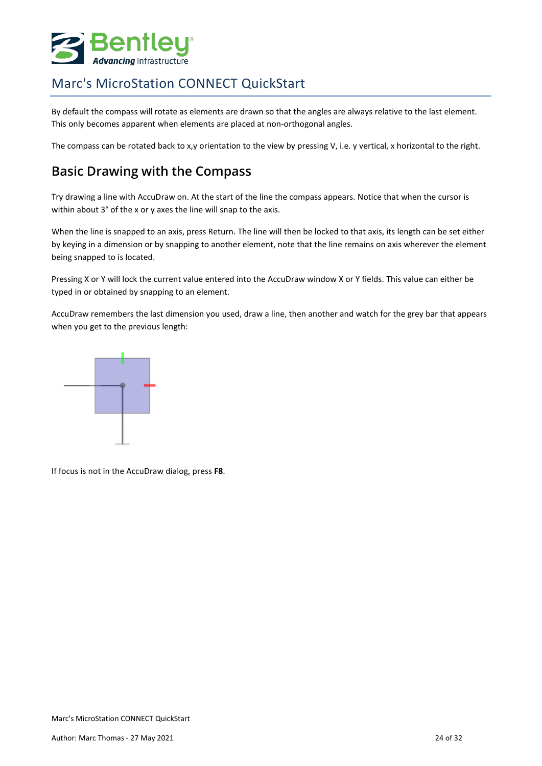

By default the compass will rotate as elements are drawn so that the angles are always relative to the last element. This only becomes apparent when elements are placed at non-orthogonal angles.

The compass can be rotated back to x,y orientation to the view by pressing V, i.e. y vertical, x horizontal to the right.

#### **Basic Drawing with the Compass**

Try drawing a line with AccuDraw on. At the start of the line the compass appears. Notice that when the cursor is within about 3° of the x or y axes the line will snap to the axis.

When the line is snapped to an axis, press Return. The line will then be locked to that axis, its length can be set either by keying in a dimension or by snapping to another element, note that the line remains on axis wherever the element being snapped to is located.

Pressing X or Y will lock the current value entered into the AccuDraw window X or Y fields. This value can either be typed in or obtained by snapping to an element.

AccuDraw remembers the last dimension you used, draw a line, then another and watch for the grey bar that appears when you get to the previous length:



If focus is not in the AccuDraw dialog, press **F8**.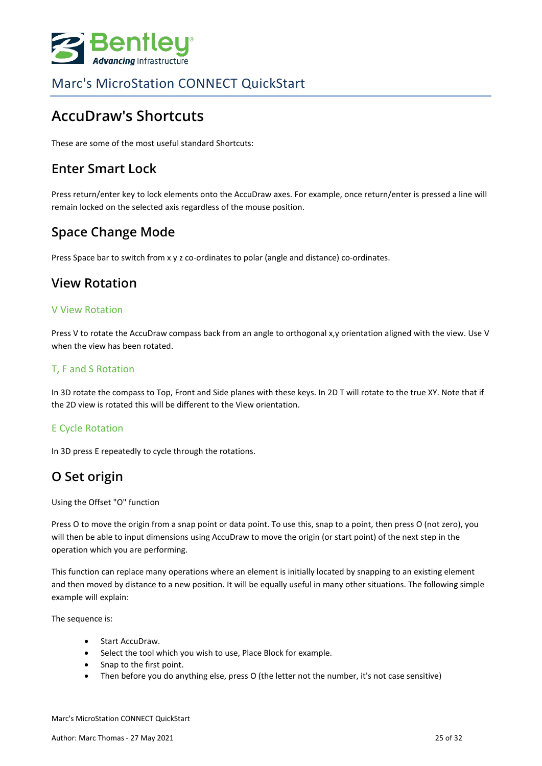

## <span id="page-24-0"></span>**AccuDraw's Shortcuts**

These are some of the most useful standard Shortcuts:

#### **Enter Smart Lock**

Press return/enter key to lock elements onto the AccuDraw axes. For example, once return/enter is pressed a line will remain locked on the selected axis regardless of the mouse position.

#### **Space Change Mode**

Press Space bar to switch from x y z co-ordinates to polar (angle and distance) co-ordinates.

#### **View Rotation**

#### V View Rotation

Press V to rotate the AccuDraw compass back from an angle to orthogonal x,y orientation aligned with the view. Use V when the view has been rotated.

#### T, F and S Rotation

In 3D rotate the compass to Top, Front and Side planes with these keys. In 2D T will rotate to the true XY. Note that if the 2D view is rotated this will be different to the View orientation.

#### E Cycle Rotation

In 3D press E repeatedly to cycle through the rotations.

#### **O Set origin**

Using the Offset "O" function

Press O to move the origin from a snap point or data point. To use this, snap to a point, then press O (not zero), you will then be able to input dimensions using AccuDraw to move the origin (or start point) of the next step in the operation which you are performing.

This function can replace many operations where an element is initially located by snapping to an existing element and then moved by distance to a new position. It will be equally useful in many other situations. The following simple example will explain:

The sequence is:

- Start AccuDraw.
- Select the tool which you wish to use, Place Block for example.
- Snap to the first point.
- Then before you do anything else, press O (the letter not the number, it's not case sensitive)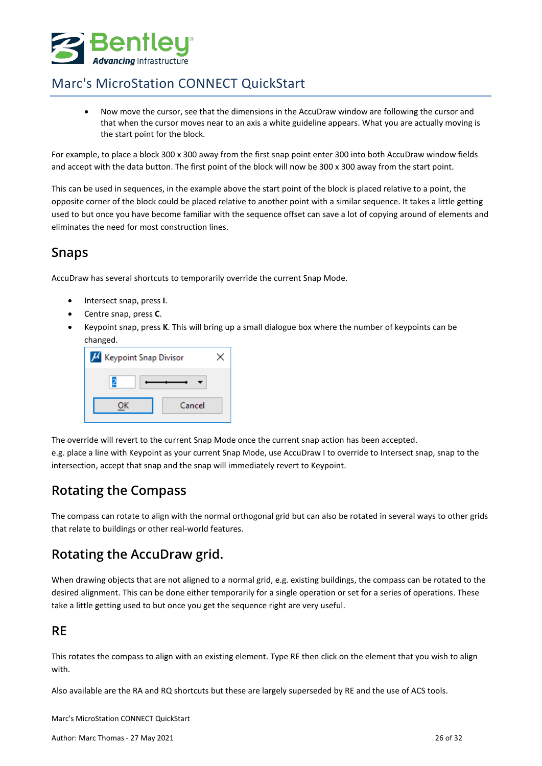

• Now move the cursor, see that the dimensions in the AccuDraw window are following the cursor and that when the cursor moves near to an axis a white guideline appears. What you are actually moving is the start point for the block.

For example, to place a block 300 x 300 away from the first snap point enter 300 into both AccuDraw window fields and accept with the data button. The first point of the block will now be 300 x 300 away from the start point.

This can be used in sequences, in the example above the start point of the block is placed relative to a point, the opposite corner of the block could be placed relative to another point with a similar sequence. It takes a little getting used to but once you have become familiar with the sequence offset can save a lot of copying around of elements and eliminates the need for most construction lines.

#### **Snaps**

AccuDraw has several shortcuts to temporarily override the current Snap Mode.

- Intersect snap, press **I**.
- Centre snap, press **C**.
- Keypoint snap, press **K**. This will bring up a small dialogue box where the number of keypoints can be changed.

| H Keypoint Snap Divisor |        |  |  |  |
|-------------------------|--------|--|--|--|
|                         |        |  |  |  |
|                         | Cancel |  |  |  |

The override will revert to the current Snap Mode once the current snap action has been accepted.

e.g. place a line with Keypoint as your current Snap Mode, use AccuDraw I to override to Intersect snap, snap to the intersection, accept that snap and the snap will immediately revert to Keypoint.

#### **Rotating the Compass**

The compass can rotate to align with the normal orthogonal grid but can also be rotated in several ways to other grids that relate to buildings or other real-world features.

#### **Rotating the AccuDraw grid.**

When drawing objects that are not aligned to a normal grid, e.g. existing buildings, the compass can be rotated to the desired alignment. This can be done either temporarily for a single operation or set for a series of operations. These take a little getting used to but once you get the sequence right are very useful.

#### **RE**

This rotates the compass to align with an existing element. Type RE then click on the element that you wish to align with.

Also available are the RA and RQ shortcuts but these are largely superseded by RE and the use of ACS tools.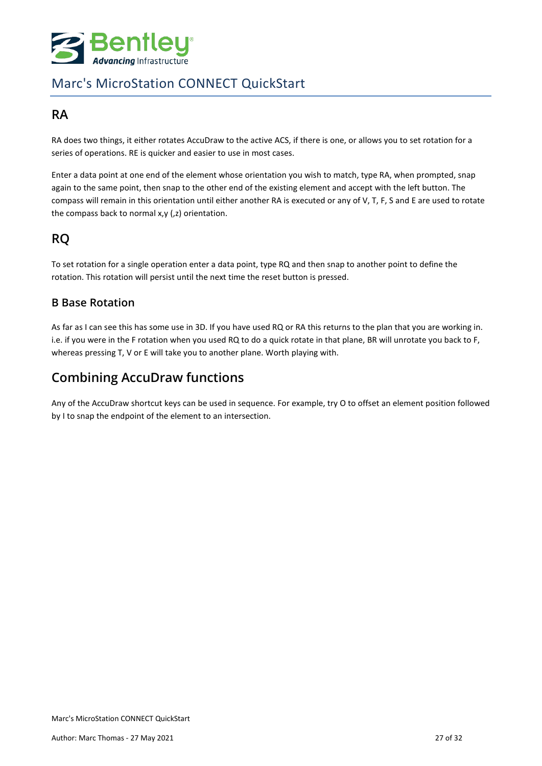

#### **RA**

RA does two things, it either rotates AccuDraw to the active ACS, if there is one, or allows you to set rotation for a series of operations. RE is quicker and easier to use in most cases.

Enter a data point at one end of the element whose orientation you wish to match, type RA, when prompted, snap again to the same point, then snap to the other end of the existing element and accept with the left button. The compass will remain in this orientation until either another RA is executed or any of V, T, F, S and E are used to rotate the compass back to normal x,y (,z) orientation.

#### **RQ**

To set rotation for a single operation enter a data point, type RQ and then snap to another point to define the rotation. This rotation will persist until the next time the reset button is pressed.

#### **B Base Rotation**

As far as I can see this has some use in 3D. If you have used RQ or RA this returns to the plan that you are working in. i.e. if you were in the F rotation when you used RQ to do a quick rotate in that plane, BR will unrotate you back to F, whereas pressing T, V or E will take you to another plane. Worth playing with.

## **Combining AccuDraw functions**

Any of the AccuDraw shortcut keys can be used in sequence. For example, try O to offset an element position followed by I to snap the endpoint of the element to an intersection.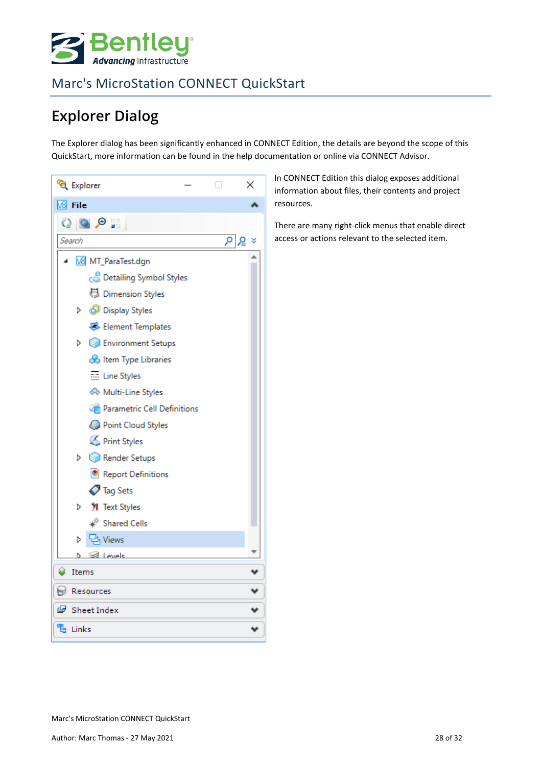

# <span id="page-27-0"></span>**Explorer Dialog**

The Explorer dialog has been significantly enhanced in CONNECT Edition, the details are beyond the scope of this QuickStart, more information can be found in the help documentation or online via CONNECT Advisor.



In CONNECT Edition this dialog exposes additional information about files, their contents and project resources.

There are many right-click menus that enable direct access or actions relevant to the selected item.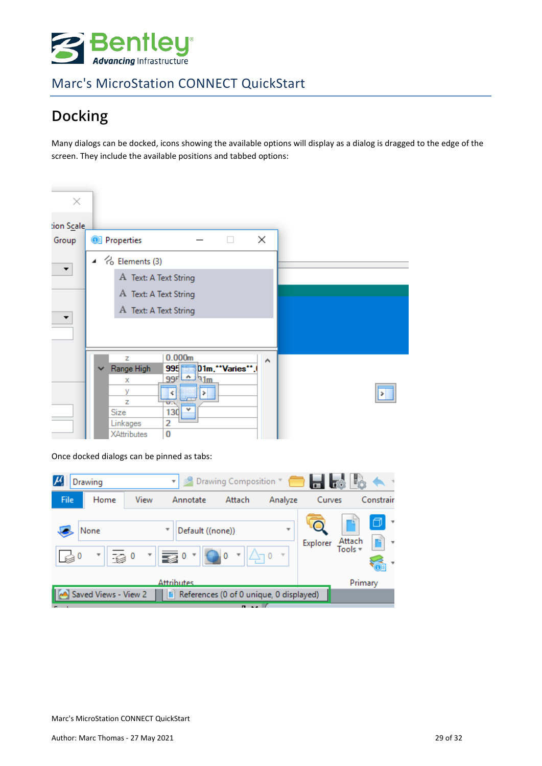

# <span id="page-28-0"></span>**Docking**

Many dialogs can be docked, icons showing the available options will display as a dialog is dragged to the edge of the screen. They include the available positions and tabbed options:

| ×          |                       |                                         |                                   |               |   |  |
|------------|-----------------------|-----------------------------------------|-----------------------------------|---------------|---|--|
| tion Scale |                       |                                         |                                   |               |   |  |
| Group      |                       | <sup>3</sup> Properties                 |                                   |               | × |  |
| ▼          |                       | $\blacktriangle$ $\approx$ Elements (3) |                                   |               |   |  |
|            |                       | A Text: A Text String                   |                                   |               |   |  |
|            |                       | A Text: A Text String                   |                                   |               |   |  |
|            | A Text: A Text String |                                         |                                   |               |   |  |
| Ŧ          |                       |                                         |                                   |               |   |  |
|            |                       |                                         |                                   |               |   |  |
|            |                       | z                                       | 0.000m                            |               | Α |  |
|            | $\checkmark$          | Range High                              | $995 -$                           | D1m."Varies". |   |  |
|            |                       | х<br>У                                  | $99r \Delta$<br>Mm                |               |   |  |
|            |                       | z                                       | ¢<br>U.                           |               |   |  |
|            |                       | Size                                    | 130                               |               |   |  |
|            |                       |                                         |                                   |               |   |  |
|            |                       | Linkages<br>XAttributes                 | $\overline{\mathbf{v}}$<br>2<br>0 |               |   |  |

Once docked dialogs can be pinned as tabs:

|      | Drawing                                |      | v                 | Drawing Composition                     |         |          |         |           |
|------|----------------------------------------|------|-------------------|-----------------------------------------|---------|----------|---------|-----------|
| File | Home                                   | View | Annotate          | Attach                                  | Analyze | Curves   |         | Constrair |
|      | None<br>120<br>$\overline{\mathbf{v}}$ |      | Default ((none))  |                                         | ÷       | Explorer | Attach  | □         |
|      |                                        |      | <b>Attributes</b> |                                         |         |          | Primary |           |
|      | Saved Views - View 2                   |      |                   | References (0 of 0 unique, 0 displayed) |         |          |         |           |
|      |                                        |      |                   |                                         |         |          |         |           |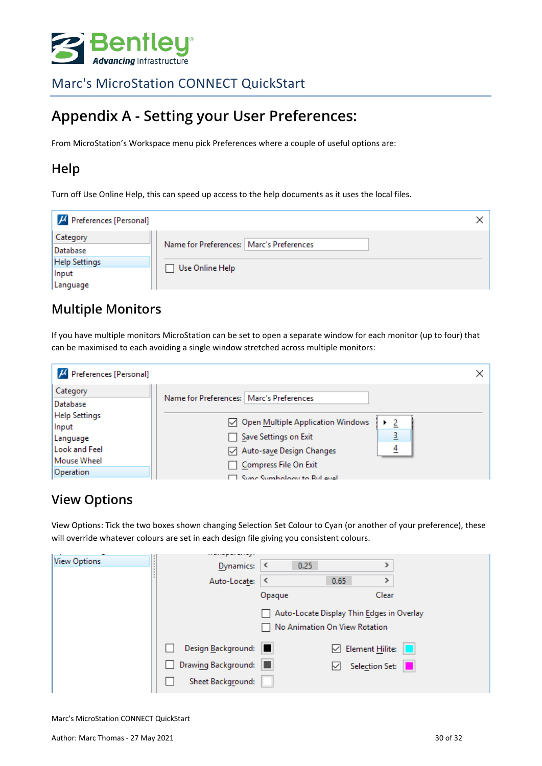

## <span id="page-29-0"></span>**Appendix A - Setting your User Preferences:**

From MicroStation's Workspace menu pick Preferences where a couple of useful options are:

### **Help**

Turn off Use Online Help, this can speed up access to the help documents as it uses the local files.

| $\mu$ Preferences [Personal] |                                            |  |
|------------------------------|--------------------------------------------|--|
| Category                     |                                            |  |
| Database                     | Name for Preferences:   Marc's Preferences |  |
| <b>Help Settings</b>         | Use Online Help                            |  |
| Input                        |                                            |  |
| Language                     |                                            |  |

## **Multiple Monitors**

If you have multiple monitors MicroStation can be set to open a separate window for each monitor (up to four) that can be maximised to each avoiding a single window stretched across multiple monitors:

| H Preferences [Personal]      |                                                        |  |
|-------------------------------|--------------------------------------------------------|--|
| Category<br>Database          | Name for Preferences:   Marc's Preferences             |  |
| <b>Help Settings</b><br>Input | Open Multiple Application Windows<br>-2                |  |
| Language<br>Look and Feel     | 3<br>Save Settings on Exit<br>Auto-save Design Changes |  |
| Mouse Wheel<br>Operation      | Compress File On Exit<br>Sunc Symbology to Ryl evel    |  |

#### **View Options**

View Options: Tick the two boxes shown changing Selection Set Colour to Cyan (or another of your preference), these will override whatever colours are set in each design file giving you consistent colours.

| <b>View Options</b> | Dynamics:           | 0.25<br>≺                                 |                               |  |
|---------------------|---------------------|-------------------------------------------|-------------------------------|--|
|                     | Auto-Locate:        | ≺                                         | 0.65                          |  |
|                     |                     | Opaque                                    | Clear                         |  |
|                     |                     | Auto-Locate Display Thin Edges in Overlay | No Animation On View Rotation |  |
|                     | Design Background:  |                                           | $\boxdot$ Element Hilite:     |  |
|                     | Drawing Background: | ш                                         | Selection Set:                |  |
|                     | Sheet Background:   |                                           |                               |  |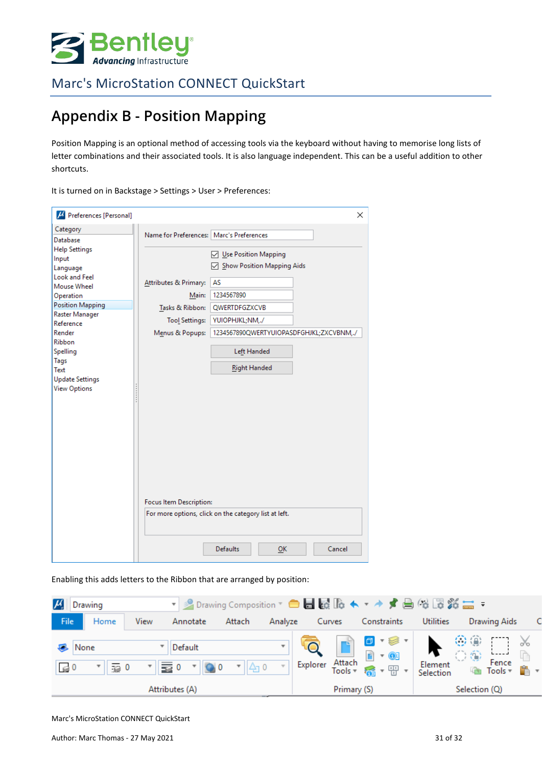

# <span id="page-30-0"></span>**Appendix B - Position Mapping**

Position Mapping is an optional method of accessing tools via the keyboard without having to memorise long lists of letter combinations and their associated tools. It is also language independent. This can be a useful addition to other shortcuts.

It is turned on in Backstage > Settings > User > Preferences:

| H Preferences [Personal]           |                                          | ×                                                     |
|------------------------------------|------------------------------------------|-------------------------------------------------------|
| Category<br>Database               | Name for Preferences: Marc's Preferences |                                                       |
| <b>Help Settings</b><br>Input      |                                          | ○ Use Position Mapping<br>Show Position Mapping Aids  |
| Language<br>Look and Feel          | Attributes & Primary:                    | AS                                                    |
| Mouse Wheel<br>Operation           | Main:                                    | 1234567890                                            |
| Position Mapping<br>Raster Manager | Tasks & Ribbon:                          | <b>QWERTDFGZXCVB</b>                                  |
| Reference                          | <b>Tool Settings:</b>                    | YUIOPHJKL;NM,./                                       |
| Render<br><b>Ribbon</b>            | Menus & Popups:                          | 1234567890QWERTYUIOPASDFGHJKL;ZXCVBNM,./              |
| Spelling                           |                                          | Left Handed                                           |
| Tags<br>Text                       |                                          | <b>Right Handed</b>                                   |
| <b>Update Settings</b>             |                                          |                                                       |
| <b>View Options</b>                |                                          |                                                       |
|                                    |                                          |                                                       |
|                                    |                                          |                                                       |
|                                    |                                          |                                                       |
|                                    |                                          |                                                       |
|                                    |                                          |                                                       |
|                                    |                                          |                                                       |
|                                    | Focus Item Description:                  |                                                       |
|                                    |                                          | For more options, click on the category list at left. |
|                                    |                                          |                                                       |
|                                    |                                          | <b>Defaults</b><br>Cancel<br>OK                       |

Enabling this adds letters to the Ribbon that are arranged by position: